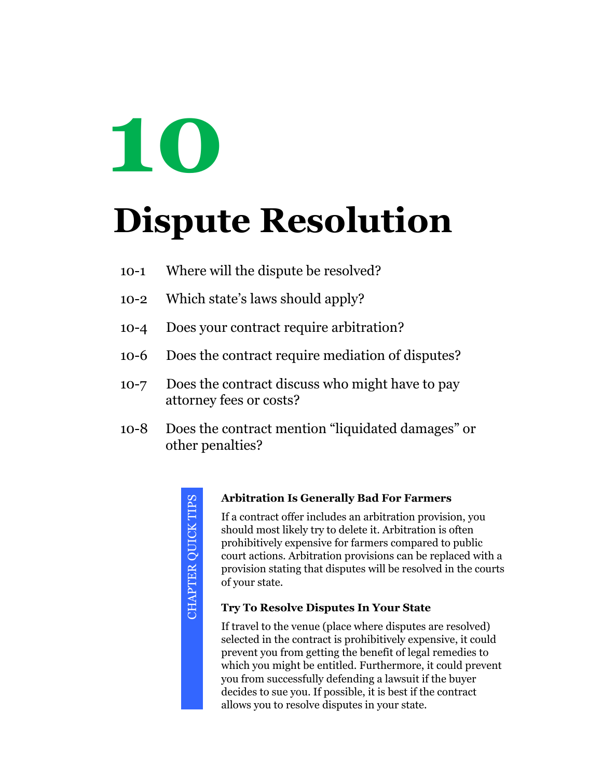# **10**

# **Dispute Resolution**

- 10-1 Where will the dispute be resolved?
- 10-2 Which state's laws should apply?
- 10-4 Does your contract require arbitration?
- 10-6 Does the contract require mediation of disputes?
- 10-7 Does the contract discuss who might have to pay attorney fees or costs?
- 10-8 Does the contract mention "liquidated damages" or other penalties?

CHAPTER QUICK TIPS CHAPTER QUICK TIPS

#### **Arbitration Is Generally Bad For Farmers**

If a contract offer includes an arbitration provision, you should most likely try to delete it. Arbitration is often prohibitively expensive for farmers compared to public court actions. Arbitration provisions can be replaced with a provision stating that disputes will be resolved in the courts of your state.

#### **Try To Resolve Disputes In Your State**

If travel to the venue (place where disputes are resolved) selected in the contract is prohibitively expensive, it could prevent you from getting the benefit of legal remedies to which you might be entitled. Furthermore, it could prevent you from successfully defending a lawsuit if the buyer decides to sue you. If possible, it is best if the contract allows you to resolve disputes in your state.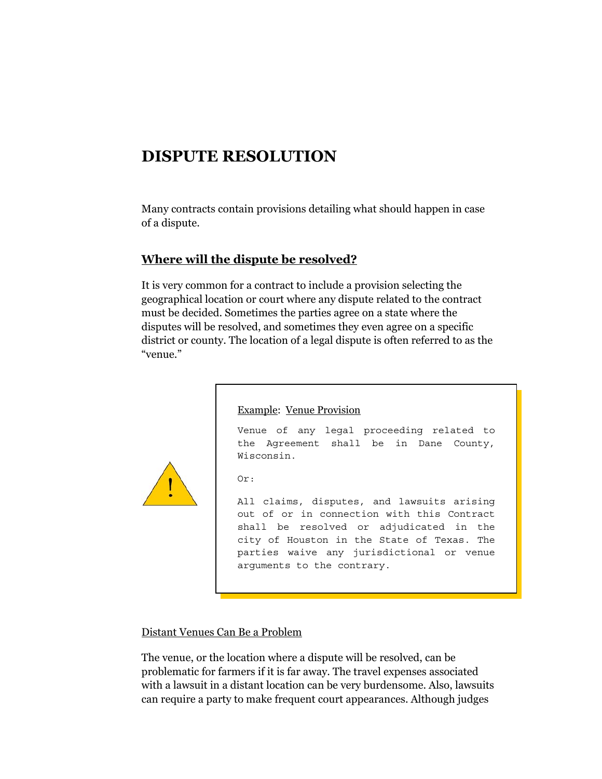# **DISPUTE RESOLUTION**

Many contracts contain provisions detailing what should happen in case of a dispute.

# **Where will the dispute be resolved?**

It is very common for a contract to include a provision selecting the geographical location or court where any dispute related to the contract must be decided. Sometimes the parties agree on a state where the disputes will be resolved, and sometimes they even agree on a specific district or county. The location of a legal dispute is often referred to as the "venue."



#### Example: Venue Provision

Venue of any legal proceeding related to the Agreement shall be in Dane County, Wisconsin.

Or:

All claims, disputes, and lawsuits arising out of or in connection with this Contract shall be resolved or adjudicated in the city of Houston in the State of Texas. The parties waive any jurisdictional or venue arguments to the contrary.

#### Distant Venues Can Be a Problem

The venue, or the location where a dispute will be resolved, can be problematic for farmers if it is far away. The travel expenses associated with a lawsuit in a distant location can be very burdensome. Also, lawsuits can require a party to make frequent court appearances. Although judges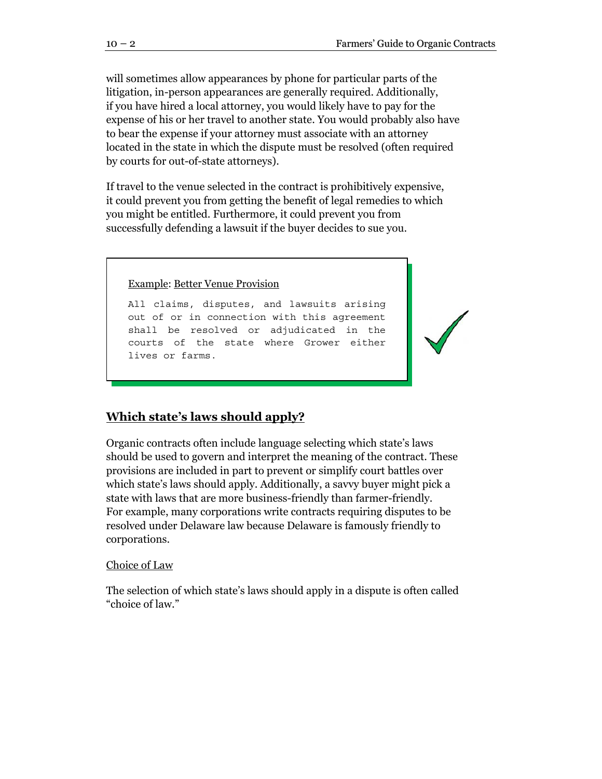will sometimes allow appearances by phone for particular parts of the litigation, in-person appearances are generally required. Additionally, if you have hired a local attorney, you would likely have to pay for the expense of his or her travel to another state. You would probably also have to bear the expense if your attorney must associate with an attorney located in the state in which the dispute must be resolved (often required by courts for out-of-state attorneys).

If travel to the venue selected in the contract is prohibitively expensive, it could prevent you from getting the benefit of legal remedies to which you might be entitled. Furthermore, it could prevent you from successfully defending a lawsuit if the buyer decides to sue you.

Example: Better Venue Provision

All claims, disputes, and lawsuits arising out of or in connection with this agreement shall be resolved or adjudicated in the courts of the state where Grower either lives or farms.



#### **Which state's laws should apply?**

Organic contracts often include language selecting which state's laws should be used to govern and interpret the meaning of the contract. These provisions are included in part to prevent or simplify court battles over which state's laws should apply. Additionally, a savvy buyer might pick a state with laws that are more business-friendly than farmer-friendly. For example, many corporations write contracts requiring disputes to be resolved under Delaware law because Delaware is famously friendly to corporations.

#### Choice of Law

The selection of which state's laws should apply in a dispute is often called "choice of law."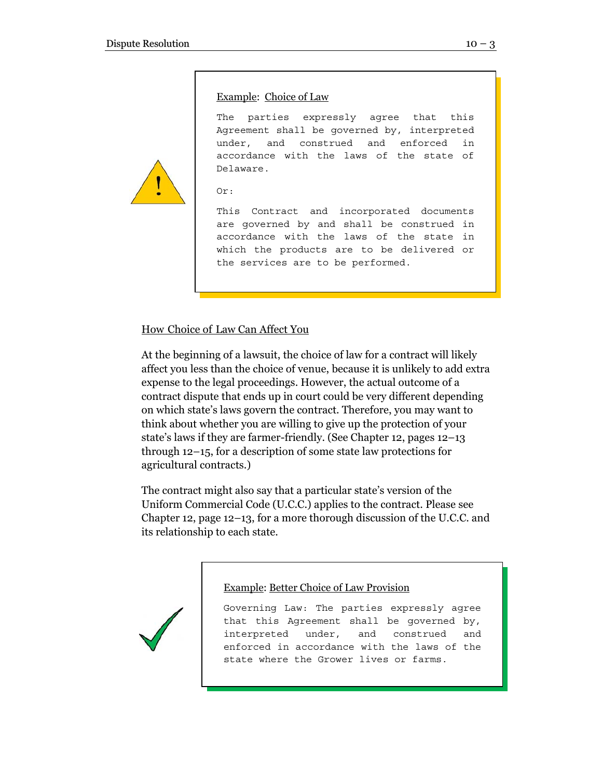#### Example: Choice of Law

The parties expressly agree that this Agreement shall be governed by, interpreted under, and construed and enforced in accordance with the laws of the state of Delaware.

```
Or:
```
This Contract and incorporated documents are governed by and shall be construed in accordance with the laws of the state in which the products are to be delivered or the services are to be performed.

#### How Choice of Law Can Affect You

At the beginning of a lawsuit, the choice of law for a contract will likely affect you less than the choice of venue, because it is unlikely to add extra expense to the legal proceedings. However, the actual outcome of a contract dispute that ends up in court could be very different depending on which state's laws govern the contract. Therefore, you may want to think about whether you are willing to give up the protection of your state's laws if they are farmer-friendly. (See Chapter 12, pages 12–13 through 12–15, for a description of some state law protections for agricultural contracts.)

The contract might also say that a particular state's version of the Uniform Commercial Code (U.C.C.) applies to the contract. Please see Chapter 12, page 12–13, for a more thorough discussion of the U.C.C. and its relationship to each state.

Example: Better Choice of Law Provision



Governing Law: The parties expressly agree that this Agreement shall be governed by, interpreted under, and construed and enforced in accordance with the laws of the state where the Grower lives or farms.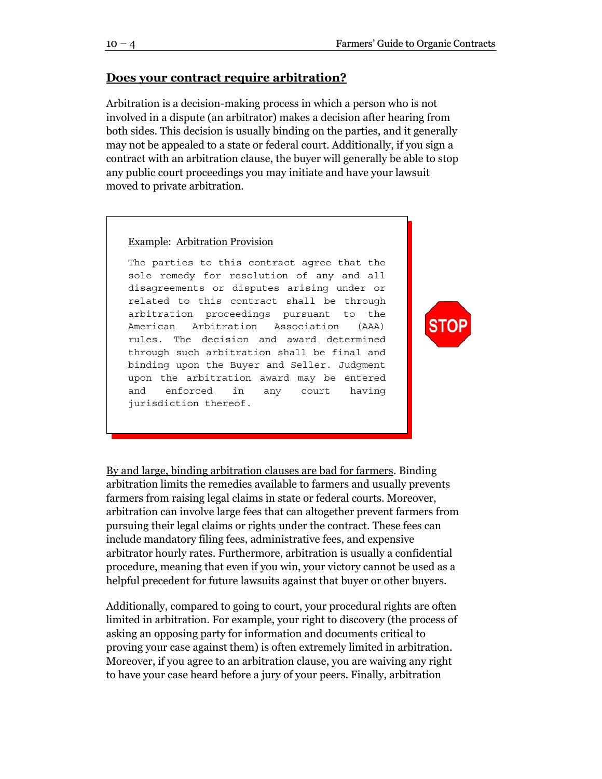#### **Does your contract require arbitration?**

Arbitration is a decision-making process in which a person who is not involved in a dispute (an arbitrator) makes a decision after hearing from both sides. This decision is usually binding on the parties, and it generally may not be appealed to a state or federal court. Additionally, if you sign a contract with an arbitration clause, the buyer will generally be able to stop any public court proceedings you may initiate and have your lawsuit moved to private arbitration.

Example: Arbitration Provision

The parties to this contract agree that the sole remedy for resolution of any and all disagreements or disputes arising under or related to this contract shall be through arbitration proceedings pursuant to the American Arbitration Association (AAA) rules. The decision and award determined through such arbitration shall be final and binding upon the Buyer and Seller. Judgment upon the arbitration award may be entered and enforced in any court having jurisdiction thereof.



By and large, binding arbitration clauses are bad for farmers. Binding arbitration limits the remedies available to farmers and usually prevents farmers from raising legal claims in state or federal courts. Moreover, arbitration can involve large fees that can altogether prevent farmers from pursuing their legal claims or rights under the contract. These fees can include mandatory filing fees, administrative fees, and expensive arbitrator hourly rates. Furthermore, arbitration is usually a confidential procedure, meaning that even if you win, your victory cannot be used as a helpful precedent for future lawsuits against that buyer or other buyers.

Additionally, compared to going to court, your procedural rights are often limited in arbitration. For example, your right to discovery (the process of asking an opposing party for information and documents critical to proving your case against them) is often extremely limited in arbitration. Moreover, if you agree to an arbitration clause, you are waiving any right to have your case heard before a jury of your peers. Finally, arbitration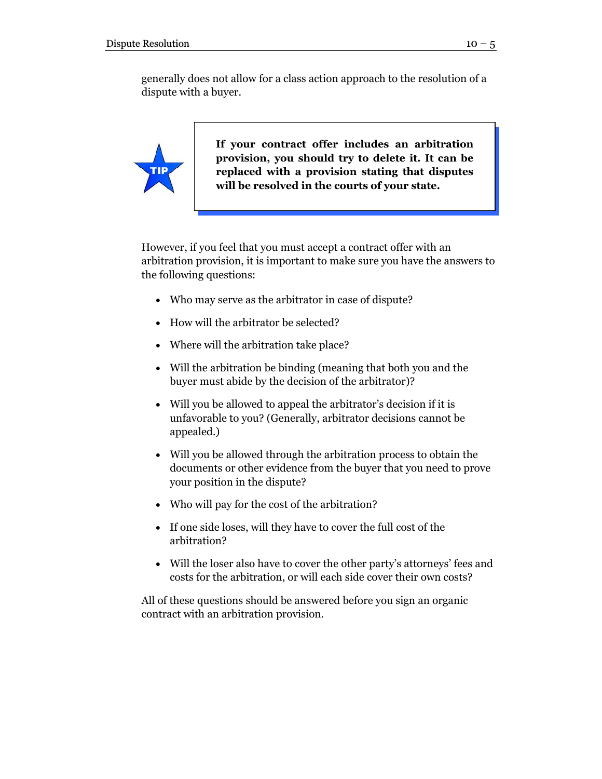generally does not allow for a class action approach to the resolution of a dispute with a buyer.



**If your contract offer includes an arbitration provision, you should try to delete it. It can be replaced with a provision stating that disputes will be resolved in the courts of your state.** 

However, if you feel that you must accept a contract offer with an arbitration provision, it is important to make sure you have the answers to the following questions:

- Who may serve as the arbitrator in case of dispute?
- How will the arbitrator be selected?
- Where will the arbitration take place?
- Will the arbitration be binding (meaning that both you and the buyer must abide by the decision of the arbitrator)?
- Will you be allowed to appeal the arbitrator's decision if it is unfavorable to you? (Generally, arbitrator decisions cannot be appealed.)
- Will you be allowed through the arbitration process to obtain the documents or other evidence from the buyer that you need to prove your position in the dispute?
- Who will pay for the cost of the arbitration?
- If one side loses, will they have to cover the full cost of the arbitration?
- Will the loser also have to cover the other party's attorneys' fees and costs for the arbitration, or will each side cover their own costs?

All of these questions should be answered before you sign an organic contract with an arbitration provision.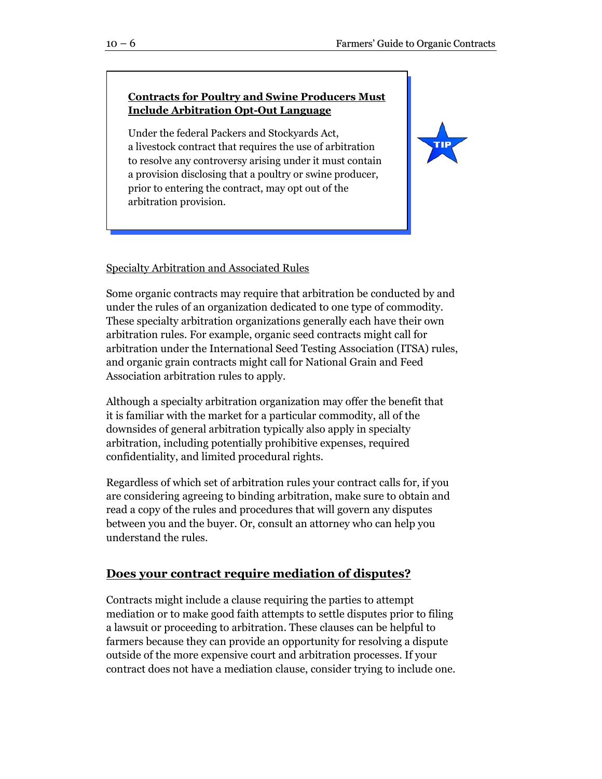# **Contracts for Poultry and Swine Producers Must Include Arbitration Opt-Out Language**

Under the federal Packers and Stockyards Act, a livestock contract that requires the use of arbitration to resolve any controversy arising under it must contain a provision disclosing that a poultry or swine producer, prior to entering the contract, may opt out of the arbitration provision.



### Specialty Arbitration and Associated Rules

Some organic contracts may require that arbitration be conducted by and under the rules of an organization dedicated to one type of commodity. These specialty arbitration organizations generally each have their own arbitration rules. For example, organic seed contracts might call for arbitration under the International Seed Testing Association (ITSA) rules, and organic grain contracts might call for National Grain and Feed Association arbitration rules to apply.

Although a specialty arbitration organization may offer the benefit that it is familiar with the market for a particular commodity, all of the downsides of general arbitration typically also apply in specialty arbitration, including potentially prohibitive expenses, required confidentiality, and limited procedural rights.

Regardless of which set of arbitration rules your contract calls for, if you are considering agreeing to binding arbitration, make sure to obtain and read a copy of the rules and procedures that will govern any disputes between you and the buyer. Or, consult an attorney who can help you understand the rules.

# **Does your contract require mediation of disputes?**

Contracts might include a clause requiring the parties to attempt mediation or to make good faith attempts to settle disputes prior to filing a lawsuit or proceeding to arbitration. These clauses can be helpful to farmers because they can provide an opportunity for resolving a dispute outside of the more expensive court and arbitration processes. If your contract does not have a mediation clause, consider trying to include one.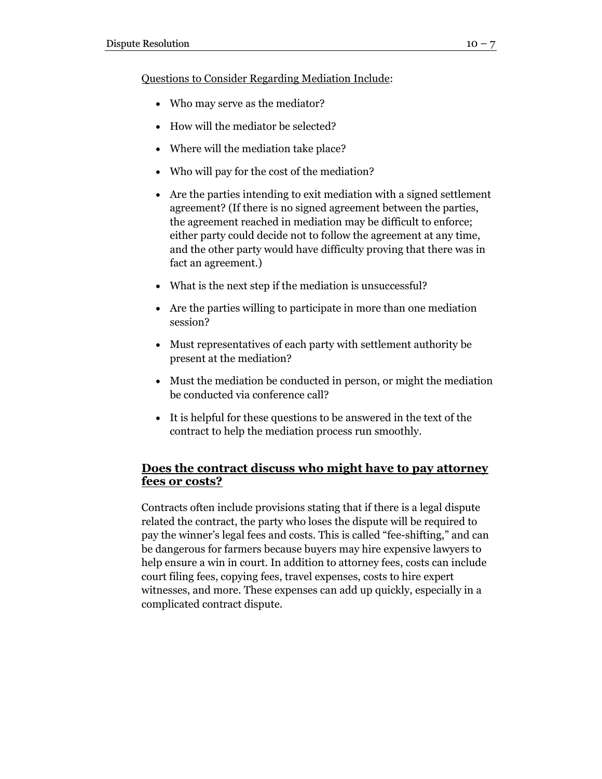Questions to Consider Regarding Mediation Include:

- Who may serve as the mediator?
- How will the mediator be selected?
- Where will the mediation take place?
- Who will pay for the cost of the mediation?
- Are the parties intending to exit mediation with a signed settlement agreement? (If there is no signed agreement between the parties, the agreement reached in mediation may be difficult to enforce; either party could decide not to follow the agreement at any time, and the other party would have difficulty proving that there was in fact an agreement.)
- What is the next step if the mediation is unsuccessful?
- Are the parties willing to participate in more than one mediation session?
- Must representatives of each party with settlement authority be present at the mediation?
- Must the mediation be conducted in person, or might the mediation be conducted via conference call?
- It is helpful for these questions to be answered in the text of the contract to help the mediation process run smoothly.

# **Does the contract discuss who might have to pay attorney fees or costs?**

Contracts often include provisions stating that if there is a legal dispute related the contract, the party who loses the dispute will be required to pay the winner's legal fees and costs. This is called "fee-shifting," and can be dangerous for farmers because buyers may hire expensive lawyers to help ensure a win in court. In addition to attorney fees, costs can include court filing fees, copying fees, travel expenses, costs to hire expert witnesses, and more. These expenses can add up quickly, especially in a complicated contract dispute.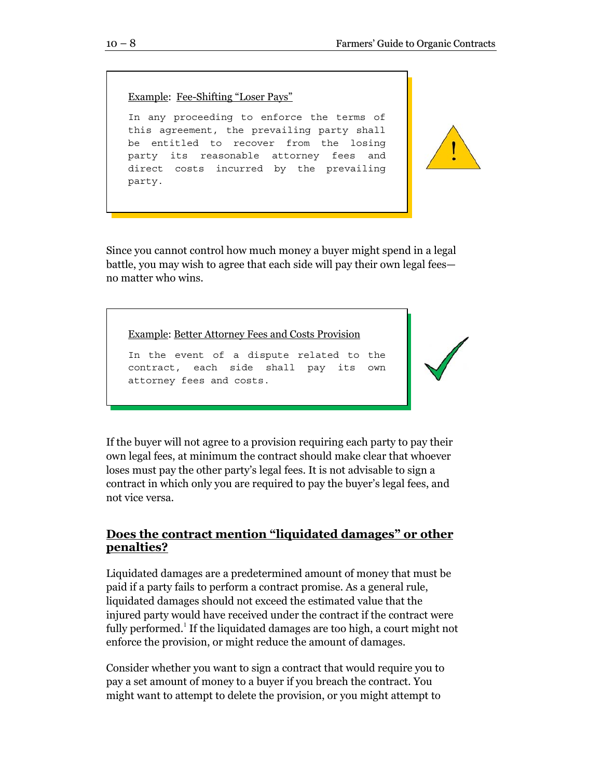Example: Fee-Shifting "Loser Pays"

In any proceeding to enforce the terms of this agreement, the prevailing party shall be entitled to recover from the losing party its reasonable attorney fees and direct costs incurred by the prevailing party.

Since you cannot control how much money a buyer might spend in a legal battle, you may wish to agree that each side will pay their own legal fees no matter who wins.

Example: Better Attorney Fees and Costs Provision

In the event of a dispute related to the contract, each side shall pay its own attorney fees and costs.



If the buyer will not agree to a provision requiring each party to pay their own legal fees, at minimum the contract should make clear that whoever loses must pay the other party's legal fees. It is not advisable to sign a contract in which only you are required to pay the buyer's legal fees, and not vice versa.

# **Does the contract mention "liquidated damages" or other penalties?**

Liquidated damages are a predetermined amount of money that must be paid if a party fails to perform a contract promise. As a general rule, liquidated damages should not exceed the estimated value that the injured party would have received under the contract if the contract were fully performed.<sup>1</sup> If the liquidated damages are too high, a court might not enforce the provision, or might reduce the amount of damages.

Consider whether you want to sign a contract that would require you to pay a set amount of money to a buyer if you breach the contract. You might want to attempt to delete the provision, or you might attempt to